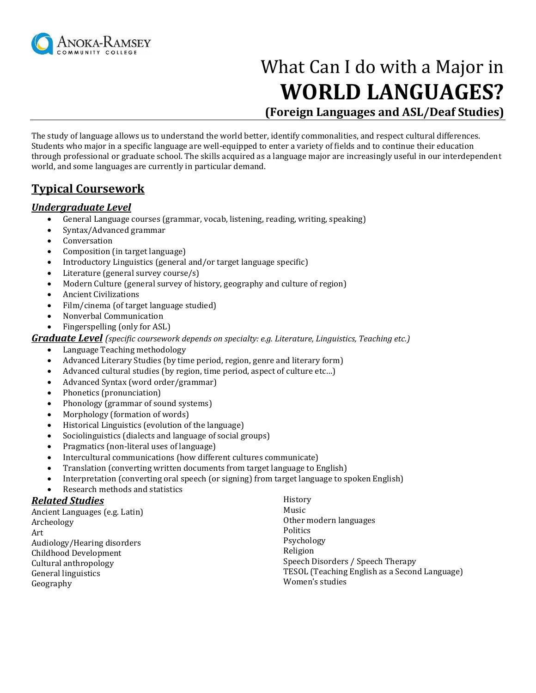

# What Can I do with a Major in **WORLD LANGUAGES?**

**(Foreign Languages and ASL/Deaf Studies)**

The study of language allows us to understand the world better, identify commonalities, and respect cultural differences. Students who major in a specific language are well-equipped to enter a variety of fields and to continue their education through professional or graduate school. The skills acquired as a language major are increasingly useful in our interdependent world, and some languages are currently in particular demand.

#### **Typical Coursework**

#### *Undergraduate Level*

- General Language courses (grammar, vocab, listening, reading, writing, speaking)
- Syntax/Advanced grammar
- Conversation
- Composition (in target language)
- Introductory Linguistics (general and/or target language specific)
- Literature (general survey course/s)
- Modern Culture (general survey of history, geography and culture of region)
- Ancient Civilizations
- Film/cinema (of target language studied)
- Nonverbal Communication
- Fingerspelling (only for ASL)

*Graduate Level (specific coursework depends on specialty: e.g. Literature, Linguistics, Teaching etc.)*

- Language Teaching methodology
- Advanced Literary Studies (by time period, region, genre and literary form)
- Advanced cultural studies (by region, time period, aspect of culture etc…)
- Advanced Syntax (word order/grammar)
- Phonetics (pronunciation)
- Phonology (grammar of sound systems)
- Morphology (formation of words)
- Historical Linguistics (evolution of the language)
- Sociolinguistics (dialects and language of social groups)
- Pragmatics (non-literal uses of language)
- Intercultural communications (how different cultures communicate)
- Translation (converting written documents from target language to English)
- Interpretation (converting oral speech (or signing) from target language to spoken English)
- Research methods and statistics

#### *Related Studies*

Ancient Languages (e.g. Latin) Archeology Art Audiology/Hearing disorders Childhood Development Cultural anthropology General linguistics Geography

History Music Other modern languages Politics Psychology Religion Speech Disorders / Speech Therapy TESOL (Teaching English as a Second Language) Women's studies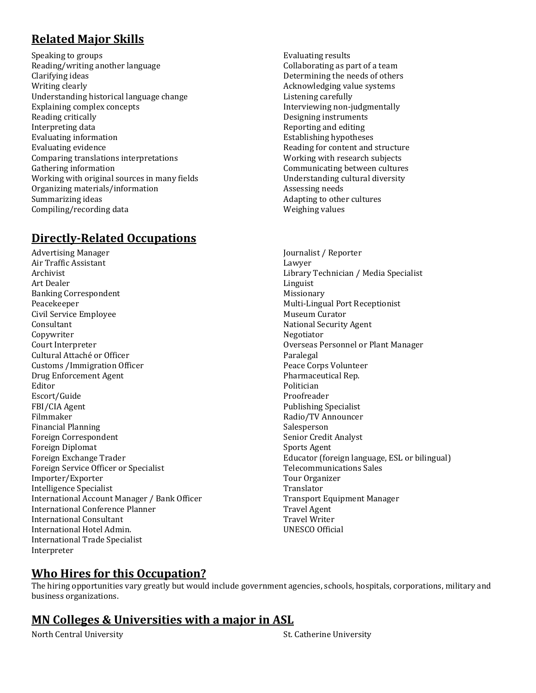## **Related Major Skills**

Speaking to groups Reading/writing another language Clarifying ideas Writing clearly Understanding historical language change Explaining complex concepts Reading critically Interpreting data Evaluating information Evaluating evidence Comparing translations interpretations Gathering information Working with original sources in many fields Organizing materials/information Summarizing ideas Compiling/recording data

## **Directly-Related Occupations**

Advertising Manager Air Traffic Assistant Archivist Art Dealer Banking Correspondent Peacekeeper Civil Service Employee Consultant Copywriter Court Interpreter Cultural Attaché or Officer Customs /Immigration Officer Drug Enforcement Agent Editor Escort/Guide FBI/CIA Agent Filmmaker Financial Planning Foreign Correspondent Foreign Diplomat Foreign Exchange Trader Foreign Service Officer or Specialist Importer/Exporter Intelligence Specialist International Account Manager / Bank Officer International Conference Planner International Consultant International Hotel Admin. International Trade Specialist Interpreter

Evaluating results Collaborating as part of a team Determining the needs of others Acknowledging value systems Listening carefully Interviewing non-judgmentally Designing instruments Reporting and editing Establishing hypotheses Reading for content and structure Working with research subjects Communicating between cultures Understanding cultural diversity Assessing needs Adapting to other cultures Weighing values

Journalist / Reporter Lawyer Library Technician / Media Specialist Linguist Missionary Multi-Lingual Port Receptionist Museum Curator National Security Agent Negotiator Overseas Personnel or Plant Manager Paralegal Peace Corps Volunteer Pharmaceutical Rep. Politician Proofreader Publishing Specialist Radio/TV Announcer Salesperson Senior Credit Analyst Sports Agent Educator (foreign language, ESL or bilingual) Telecommunications Sales Tour Organizer Translator Transport Equipment Manager Travel Agent Travel Writer UNESCO Official

## **Who Hires for this Occupation?**

The hiring opportunities vary greatly but would include government agencies, schools, hospitals, corporations, military and business organizations.

#### **MN Colleges & Universities with a major in ASL**

North Central University The St. Catherine University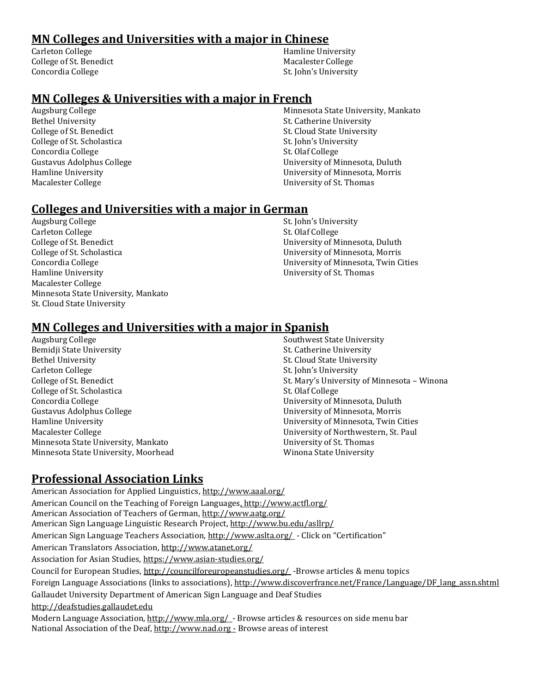#### **MN Colleges and Universities with a major in Chinese**

Carleton College Hamline University College of St. Benedict **Macalester College** Macalester College Concordia College  $S_t$ . St. John's University

#### **MN Colleges & Universities with a major in French**

Augsburg College Bethel University College of St. Benedict College of St. Scholastica Concordia College Gustavus Adolphus College Hamline University Macalester College

Minnesota State University, Mankato St. Catherine University St. Cloud State University St. John's University St. Olaf College University of Minnesota, Duluth University of Minnesota, Morris University of St. Thomas

#### **Colleges and Universities with a major in German**

Augsburg College Carleton College College of St. Benedict College of St. Scholastica Concordia College Hamline University Macalester College Minnesota State University, Mankato St. Cloud State University

St. John's University St. Olaf College University of Minnesota, Duluth University of Minnesota, Morris University of Minnesota, Twin Cities University of St. Thomas

#### **MN Colleges and Universities with a major in Spanish**

Augsburg College Bemidji State University Bethel University Carleton College College of St. Benedict College of St. Scholastica Concordia College Gustavus Adolphus College Hamline University Macalester College Minnesota State University, Mankato Minnesota State University, Moorhead

Southwest State University St. Catherine University St. Cloud State University St. John's University St. Mary's University of Minnesota – Winona St. Olaf College University of Minnesota, Duluth University of Minnesota, Morris University of Minnesota, Twin Cities University of Northwestern, St. Paul University of St. Thomas Winona State University

#### **Professional Association Links**

[American Association for Applied Linguistics, http://www.aaal.org/](http://www.aaal.org/) [American Council on the Teaching of Foreign Languages,](http://www.actfl.org/) <http://www.actfl.org/> American Association of Teachers of German,<http://www.aatg.org/> American Sign Language Linguistic Research Project,<http://www.bu.edu/asllrp/> American Sign Language Teachers Association[, http://www.aslta.org/](http://www.aslta.org/) - Click on "Certification" [American Translators Association,](http://www.atanet.org/bin/view.pl/181.html)<http://www.atanet.org/> Association for Asian Studies[, https://www.asian-studies.org/](https://www.asian-studies.org/)  Council for European Studies[, http://councilforeuropeanstudies.org/](http://councilforeuropeanstudies.org/) -Browse articles & menu topics [Foreign Language Associations](http://www.discoverfrance.net/France/Language/DF_lang_assn.shtml) (links to associations), [http://www.discoverfrance.net/France/Language/DF\\_lang\\_assn.shtml](http://www.discoverfrance.net/France/Language/DF_lang_assn.shtml) Gallaudet University Department of American Sign Language and Deaf Studies [http://deafstudies.gallaudet.edu](http://deafstudies.gallaudet.edu/)  [Modern Language Association, http://www.mla.org/](http://www.mla.org/) - Browse articles & resources on side menu bar National Association of the Deaf, http://www.nad.org - Browse areas of interest